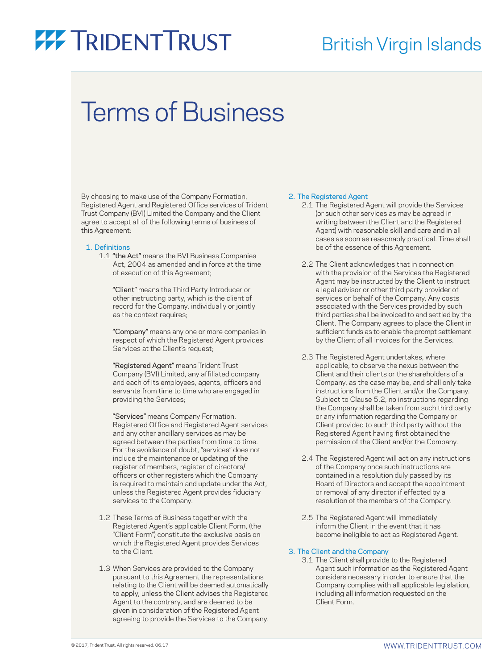### British Virgin Islands

## Terms of Business

By choosing to make use of the Company Formation, Registered Agent and Registered Office services of Trident Trust Company (BVI) Limited the Company and the Client agree to accept all of the following terms of business of this Agreement:

#### 1. Definitions

 1.1 "the Act" means the BVI Business Companies Act, 2004 as amended and in force at the time of execution of this Agreement;

 "Client" means the Third Party Introducer or other instructing party, which is the client of record for the Company, individually or jointly as the context requires;

 "Company" means any one or more companies in respect of which the Registered Agent provides Services at the Client's request;

 "Registered Agent" means Trident Trust Company (BVI) Limited, any affiliated company and each of its employees, agents, officers and servants from time to time who are engaged in providing the Services;

 "Services" means Company Formation, Registered Office and Registered Agent services and any other ancillary services as may be agreed between the parties from time to time. For the avoidance of doubt, "services" does not include the maintenance or updating of the register of members, register of directors/ officers or other registers which the Company is required to maintain and update under the Act, unless the Registered Agent provides fiduciary services to the Company.

- 1.2 These Terms of Business together with the Registered Agent's applicable Client Form, (the "Client Form") constitute the exclusive basis on which the Registered Agent provides Services to the Client.
- 1.3 When Services are provided to the Company pursuant to this Agreement the representations relating to the Client will be deemed automatically to apply, unless the Client advises the Registered Agent to the contrary, and are deemed to be given in consideration of the Registered Agent agreeing to provide the Services to the Company.

#### 2. The Registered Agent

- 2.1 The Registered Agent will provide the Services (or such other services as may be agreed in writing between the Client and the Registered Agent) with reasonable skill and care and in all cases as soon as reasonably practical. Time shall be of the essence of this Agreement.
- 2.2 The Client acknowledges that in connection with the provision of the Services the Registered Agent may be instructed by the Client to instruct a legal advisor or other third party provider of services on behalf of the Company. Any costs associated with the Services provided by such third parties shall be invoiced to and settled by the Client. The Company agrees to place the Client in sufficient funds as to enable the prompt settlement by the Client of all invoices for the Services.
- 2.3 The Registered Agent undertakes, where applicable, to observe the nexus between the Client and their clients or the shareholders of a Company, as the case may be, and shall only take instructions from the Client and/or the Company. Subject to Clause 5.2, no instructions regarding the Company shall be taken from such third party or any information regarding the Company or Client provided to such third party without the Registered Agent having first obtained the permission of the Client and/or the Company.
- 2.4 The Registered Agent will act on any instructions of the Company once such instructions are contained in a resolution duly passed by its Board of Directors and accept the appointment or removal of any director if effected by a resolution of the members of the Company.
- 2.5 The Registered Agent will immediately inform the Client in the event that it has become ineligible to act as Registered Agent.

#### 3. The Client and the Company

 3.1 The Client shall provide to the Registered Agent such information as the Registered Agent considers necessary in order to ensure that the Company complies with all applicable legislation, including all information requested on the Client Form.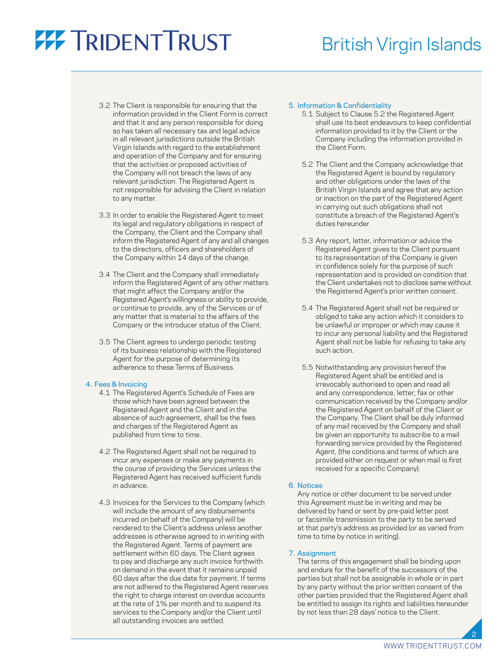### British Virgin Islands

- 3.2 The Client is responsible for ensuring that the information provided in the Client Form is correct and that it and any person responsible for doing so has taken all necessary tax and legal advice in all relevant jurisdictions outside the British Virgin Islands with regard to the establishment and operation of the Company and for ensuring that the activities or proposed activities of the Company will not breach the laws of any relevant jurisdiction. The Registered Agent is not responsible for advising the Client in relation to any matter.
- 3.3 In order to enable the Registered Agent to meet its legal and regulatory obligations in respect of the Company, the Client and the Company shall inform the Registered Agent of any and all changes to the directors, officers and shareholders of the Company within 14 days of the change.
- 3.4 The Client and the Company shall immediately inform the Registered Agent of any other matters that might affect the Company and/or the Registered Agent's willingness or ability to provide, or continue to provide, any of the Services or of any matter that is material to the affairs of the Company or the introducer status of the Client.
- 3.5 The Client agrees to undergo periodic testing of its business relationship with the Registered Agent for the purpose of determining its adherence to these Terms of Business.

#### 4. Fees & Invoicing

- 4.1 The Registered Agent's Schedule of Fees are those which have been agreed between the Registered Agent and the Client and in the absence of such agreement, shall be the fees and charges of the Registered Agent as published from time to time.
- 4.2 The Registered Agent shall not be required to incur any expenses or make any payments in the course of providing the Services unless the Registered Agent has received sufficient funds in advance.
- 4.3 Invoices for the Services to the Company (which will include the amount of any disbursements incurred on behalf of the Company) will be rendered to the Client's address unless another addressee is otherwise agreed to in writing with the Registered Agent. Terms of payment are settlement within 60 days. The Client agrees to pay and discharge any such invoice forthwith on demand in the event that it remains unpaid 60 days after the due date for payment. If terms are not adhered to the Registered Agent reserves the right to charge interest on overdue accounts at the rate of 1% per month and to suspend its services to the Company and/or the Client until all outstanding invoices are settled.

#### 5. Information & Confidentiality

- 5.1 Subject to Clause 5.2 the Registered Agent shall use its best endeavours to keep confidential information provided to it by the Client or the Company including the information provided in the Client Form.
- 5.2 The Client and the Company acknowledge that the Registered Agent is bound by regulatory and other obligations under the laws of the British Virgin Islands and agree that any action or inaction on the part of the Registered Agent in carrying out such obligations shall not constitute a breach of the Registered Agent's duties hereunder.
- 5.3 Any report, letter, information or advice the Registered Agent gives to the Client pursuant to its representation of the Company is given in confidence solely for the purpose of such representation and is provided on condition that the Client undertakes not to disclose same without the Registered Agent's prior written consent.
- 5.4 The Registered Agent shall not be required or obliged to take any action which it considers to be unlawful or improper or which may cause it to incur any personal liability and the Registered Agent shall not be liable for refusing to take any such action.
- 5.5 Notwithstanding any provision hereof the Registered Agent shall be entitled and is irrevocably authorised to open and read all and any correspondence, letter, fax or other communication received by the Company and/or the Registered Agent on behalf of the Client or the Company. The Client shall be duly informed of any mail received by the Company and shall be given an opportunity to subscribe to a mail forwarding service provided by the Registered Agent, (the conditions and terms of which are provided either on request or when mail is first received for a specific Company).

#### 6. Notices

 Any notice or other document to be served under this Agreement must be in writing and may be delivered by hand or sent by pre-paid letter post or facsimile transmission to the party to be served at that party's address as provided (or as varied from time to time by notice in writing).

#### 7. Assignment

 The terms of this engagement shall be binding upon and endure for the benefit of the successors of the parties but shall not be assignable in whole or in part by any party without the prior written consent of the other parties provided that the Registered Agent shall be entitled to assign its rights and liabilities hereunder by not less than 28 days' notice to the Client.

2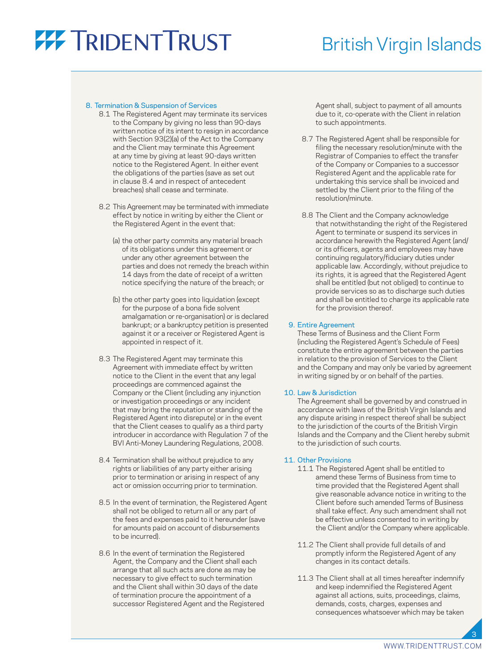### British Virgin Islands

#### 8. Termination & Suspension of Services

- 8.1 The Registered Agent may terminate its services to the Company by giving no less than 90-days written notice of its intent to resign in accordance with Section 93(2)(a) of the Act to the Company and the Client may terminate this Agreement at any time by giving at least 90-days written notice to the Registered Agent. In either event the obligations of the parties (save as set out in clause 8.4 and in respect of antecedent breaches) shall cease and terminate.
- 8.2 This Agreement may be terminated with immediate effect by notice in writing by either the Client or the Registered Agent in the event that:
	- (a) the other party commits any material breach of its obligations under this agreement or under any other agreement between the parties and does not remedy the breach within 14 days from the date of receipt of a written notice specifying the nature of the breach; or
	- (b) the other party goes into liquidation (except for the purpose of a bona fide solvent amalgamation or re-organisation) or is declared bankrupt; or a bankruptcy petition is presented against it or a receiver or Registered Agent is appointed in respect of it.
- 8.3 The Registered Agent may terminate this Agreement with immediate effect by written notice to the Client in the event that any legal proceedings are commenced against the Company or the Client (including any injunction or investigation proceedings or any incident that may bring the reputation or standing of the Registered Agent into disrepute) or in the event that the Client ceases to qualify as a third party introducer in accordance with Regulation 7 of the BVI Anti-Money Laundering Regulations, 2008.
- 8.4 Termination shall be without prejudice to any rights or liabilities of any party either arising prior to termination or arising in respect of any act or omission occurring prior to termination.
- 8.5 In the event of termination, the Registered Agent shall not be obliged to return all or any part of the fees and expenses paid to it hereunder (save for amounts paid on account of disbursements to be incurred).
- 8.6 In the event of termination the Registered Agent, the Company and the Client shall each arrange that all such acts are done as may be necessary to give effect to such termination and the Client shall within 30 days of the date of termination procure the appointment of a successor Registered Agent and the Registered

Agent shall, subject to payment of all amounts due to it, co-operate with the Client in relation to such appointments.

- 8.7 The Registered Agent shall be responsible for filing the necessary resolution/minute with the Registrar of Companies to effect the transfer of the Company or Companies to a successor Registered Agent and the applicable rate for undertaking this service shall be invoiced and settled by the Client prior to the filing of the resolution/minute.
- 8.8 The Client and the Company acknowledge that notwithstanding the right of the Registered Agent to terminate or suspend its services in accordance herewith the Registered Agent (and/ or its officers, agents and employees may have continuing regulatory/fiduciary duties under applicable law. Accordingly, without prejudice to its rights, it is agreed that the Registered Agent shall be entitled (but not obliged) to continue to provide services so as to discharge such duties and shall be entitled to charge its applicable rate for the provision thereof.

#### 9. Entire Agreement

 These Terms of Business and the Client Form (including the Registered Agent's Schedule of Fees) constitute the entire agreement between the parties in relation to the provision of Services to the Client and the Company and may only be varied by agreement in writing signed by or on behalf of the parties.

#### 10. Law & Jurisdiction

 The Agreement shall be governed by and construed in accordance with laws of the British Virgin Islands and any dispute arising in respect thereof shall be subject to the jurisdiction of the courts of the British Virgin Islands and the Company and the Client hereby submit to the jurisdiction of such courts.

#### 11. Other Provisions

- 11.1 The Registered Agent shall be entitled to amend these Terms of Business from time to time provided that the Registered Agent shall give reasonable advance notice in writing to the Client before such amended Terms of Business shall take effect. Any such amendment shall not be effective unless consented to in writing by the Client and/or the Company where applicable.
- 11.2 The Client shall provide full details of and promptly inform the Registered Agent of any changes in its contact details.
- 11.3 The Client shall at all times hereafter indemnify and keep indemnified the Registered Agent against all actions, suits, proceedings, claims, demands, costs, charges, expenses and consequences whatsoever which may be taken

3